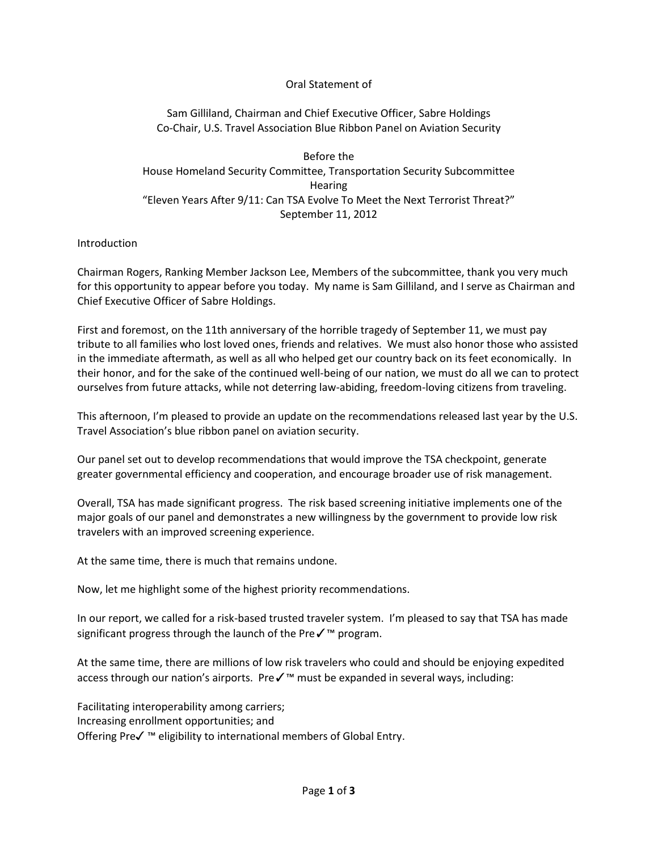## Oral Statement of

Sam Gilliland, Chairman and Chief Executive Officer, Sabre Holdings Co-Chair, U.S. Travel Association Blue Ribbon Panel on Aviation Security

Before the House Homeland Security Committee, Transportation Security Subcommittee **Hearing** "Eleven Years After 9/11: Can TSA Evolve To Meet the Next Terrorist Threat?" September 11, 2012

## Introduction

Chairman Rogers, Ranking Member Jackson Lee, Members of the subcommittee, thank you very much for this opportunity to appear before you today. My name is Sam Gilliland, and I serve as Chairman and Chief Executive Officer of Sabre Holdings.

First and foremost, on the 11th anniversary of the horrible tragedy of September 11, we must pay tribute to all families who lost loved ones, friends and relatives. We must also honor those who assisted in the immediate aftermath, as well as all who helped get our country back on its feet economically. In their honor, and for the sake of the continued well-being of our nation, we must do all we can to protect ourselves from future attacks, while not deterring law-abiding, freedom-loving citizens from traveling.

This afternoon, I'm pleased to provide an update on the recommendations released last year by the U.S. Travel Association's blue ribbon panel on aviation security.

Our panel set out to develop recommendations that would improve the TSA checkpoint, generate greater governmental efficiency and cooperation, and encourage broader use of risk management.

Overall, TSA has made significant progress. The risk based screening initiative implements one of the major goals of our panel and demonstrates a new willingness by the government to provide low risk travelers with an improved screening experience.

At the same time, there is much that remains undone.

Now, let me highlight some of the highest priority recommendations.

In our report, we called for a risk-based trusted traveler system. I'm pleased to say that TSA has made significant progress through the launch of the Preê program.

At the same time, there are millions of low risk travelers who could and should be enjoying expedited access through our nation's airports. Pre✓™ must be expanded in several ways, including:

Facilitating interoperability among carriers; Increasing enrollment opportunities; and Offering Pre✓ ™ eligibility to international members of Global Entry.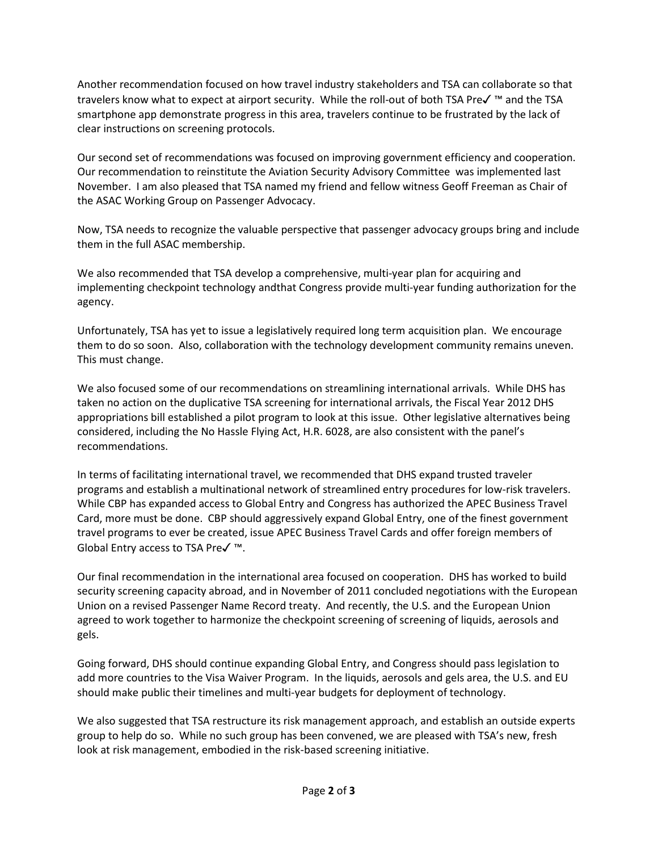Another recommendation focused on how travel industry stakeholders and TSA can collaborate so that travelers know what to expect at airport security. While the roll-out of both TSA Pre✓ ™ and the TSA smartphone app demonstrate progress in this area, travelers continue to be frustrated by the lack of clear instructions on screening protocols.

Our second set of recommendations was focused on improving government efficiency and cooperation. Our recommendation to reinstitute the Aviation Security Advisory Committee was implemented last November. I am also pleased that TSA named my friend and fellow witness Geoff Freeman as Chair of the ASAC Working Group on Passenger Advocacy.

Now, TSA needs to recognize the valuable perspective that passenger advocacy groups bring and include them in the full ASAC membership.

We also recommended that TSA develop a comprehensive, multi-year plan for acquiring and implementing checkpoint technology andthat Congress provide multi-year funding authorization for the agency.

Unfortunately, TSA has yet to issue a legislatively required long term acquisition plan. We encourage them to do so soon. Also, collaboration with the technology development community remains uneven. This must change.

We also focused some of our recommendations on streamlining international arrivals. While DHS has taken no action on the duplicative TSA screening for international arrivals, the Fiscal Year 2012 DHS appropriations bill established a pilot program to look at this issue. Other legislative alternatives being considered, including the No Hassle Flying Act, H.R. 6028, are also consistent with the panel's recommendations.

In terms of facilitating international travel, we recommended that DHS expand trusted traveler programs and establish a multinational network of streamlined entry procedures for low-risk travelers. While CBP has expanded access to Global Entry and Congress has authorized the APEC Business Travel Card, more must be done. CBP should aggressively expand Global Entry, one of the finest government travel programs to ever be created, issue APEC Business Travel Cards and offer foreign members of Global Entry access to TSA Pre✓ ™.

Our final recommendation in the international area focused on cooperation. DHS has worked to build security screening capacity abroad, and in November of 2011 concluded negotiations with the European Union on a revised Passenger Name Record treaty. And recently, the U.S. and the European Union agreed to work together to harmonize the checkpoint screening of screening of liquids, aerosols and gels.

Going forward, DHS should continue expanding Global Entry, and Congress should pass legislation to add more countries to the Visa Waiver Program. In the liquids, aerosols and gels area, the U.S. and EU should make public their timelines and multi-year budgets for deployment of technology.

We also suggested that TSA restructure its risk management approach, and establish an outside experts group to help do so. While no such group has been convened, we are pleased with TSA's new, fresh look at risk management, embodied in the risk-based screening initiative.